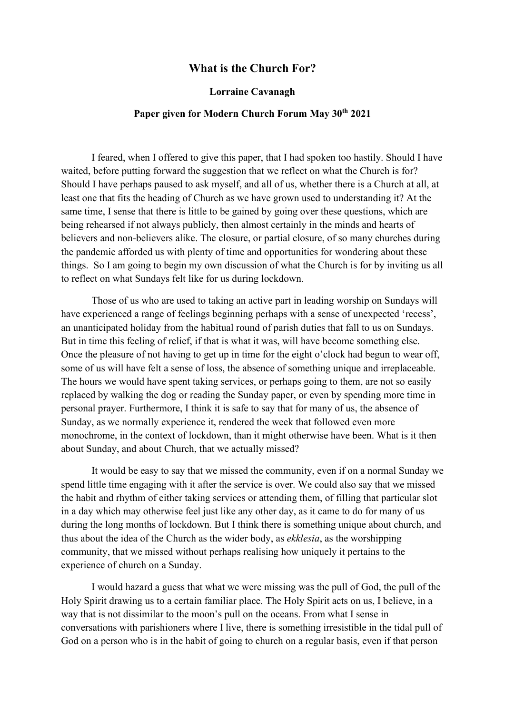## **What is the Church For?**

## **Lorraine Cavanagh**

## **Paper given for Modern Church Forum May 30th 2021**

I feared, when I offered to give this paper, that I had spoken too hastily. Should I have waited, before putting forward the suggestion that we reflect on what the Church is for? Should I have perhaps paused to ask myself, and all of us, whether there is a Church at all, at least one that fits the heading of Church as we have grown used to understanding it? At the same time, I sense that there is little to be gained by going over these questions, which are being rehearsed if not always publicly, then almost certainly in the minds and hearts of believers and non-believers alike. The closure, or partial closure, of so many churches during the pandemic afforded us with plenty of time and opportunities for wondering about these things. So I am going to begin my own discussion of what the Church is for by inviting us all to reflect on what Sundays felt like for us during lockdown.

Those of us who are used to taking an active part in leading worship on Sundays will have experienced a range of feelings beginning perhaps with a sense of unexpected 'recess', an unanticipated holiday from the habitual round of parish duties that fall to us on Sundays. But in time this feeling of relief, if that is what it was, will have become something else. Once the pleasure of not having to get up in time for the eight o'clock had begun to wear off, some of us will have felt a sense of loss, the absence of something unique and irreplaceable. The hours we would have spent taking services, or perhaps going to them, are not so easily replaced by walking the dog or reading the Sunday paper, or even by spending more time in personal prayer. Furthermore, I think it is safe to say that for many of us, the absence of Sunday, as we normally experience it, rendered the week that followed even more monochrome, in the context of lockdown, than it might otherwise have been. What is it then about Sunday, and about Church, that we actually missed?

It would be easy to say that we missed the community, even if on a normal Sunday we spend little time engaging with it after the service is over. We could also say that we missed the habit and rhythm of either taking services or attending them, of filling that particular slot in a day which may otherwise feel just like any other day, as it came to do for many of us during the long months of lockdown. But I think there is something unique about church, and thus about the idea of the Church as the wider body, as *ekklesia*, as the worshipping community, that we missed without perhaps realising how uniquely it pertains to the experience of church on a Sunday.

I would hazard a guess that what we were missing was the pull of God, the pull of the Holy Spirit drawing us to a certain familiar place. The Holy Spirit acts on us, I believe, in a way that is not dissimilar to the moon's pull on the oceans. From what I sense in conversations with parishioners where I live, there is something irresistible in the tidal pull of God on a person who is in the habit of going to church on a regular basis, even if that person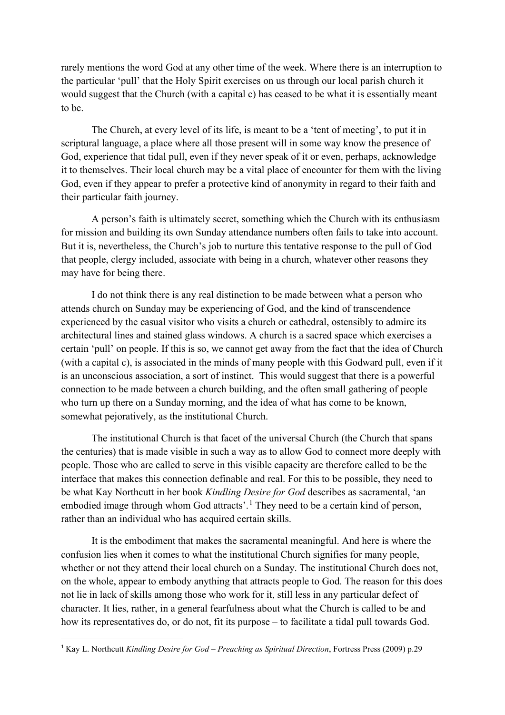rarely mentions the word God at any other time of the week. Where there is an interruption to the particular 'pull' that the Holy Spirit exercises on us through our local parish church it would suggest that the Church (with a capital c) has ceased to be what it is essentially meant to be.

The Church, at every level of its life, is meant to be a 'tent of meeting', to put it in scriptural language, a place where all those present will in some way know the presence of God, experience that tidal pull, even if they never speak of it or even, perhaps, acknowledge it to themselves. Their local church may be a vital place of encounter for them with the living God, even if they appear to prefer a protective kind of anonymity in regard to their faith and their particular faith journey.

A person's faith is ultimately secret, something which the Church with its enthusiasm for mission and building its own Sunday attendance numbers often fails to take into account. But it is, nevertheless, the Church's job to nurture this tentative response to the pull of God that people, clergy included, associate with being in a church, whatever other reasons they may have for being there.

I do not think there is any real distinction to be made between what a person who attends church on Sunday may be experiencing of God, and the kind of transcendence experienced by the casual visitor who visits a church or cathedral, ostensibly to admire its architectural lines and stained glass windows. A church is a sacred space which exercises a certain 'pull' on people. If this is so, we cannot get away from the fact that the idea of Church (with a capital c), is associated in the minds of many people with this Godward pull, even if it is an unconscious association, a sort of instinct. This would suggest that there is a powerful connection to be made between a church building, and the often small gathering of people who turn up there on a Sunday morning, and the idea of what has come to be known, somewhat pejoratively, as the institutional Church.

The institutional Church is that facet of the universal Church (the Church that spans the centuries) that is made visible in such a way as to allow God to connect more deeply with people. Those who are called to serve in this visible capacity are therefore called to be the interface that makes this connection definable and real. For this to be possible, they need to be what Kay Northcutt in her book *Kindling Desire for God* describes as sacramental, 'an embodied image through whom God attracts'.<sup>[1](#page-1-0)</sup> They need to be a certain kind of person, rather than an individual who has acquired certain skills.

It is the embodiment that makes the sacramental meaningful. And here is where the confusion lies when it comes to what the institutional Church signifies for many people, whether or not they attend their local church on a Sunday. The institutional Church does not, on the whole, appear to embody anything that attracts people to God. The reason for this does not lie in lack of skills among those who work for it, still less in any particular defect of character. It lies, rather, in a general fearfulness about what the Church is called to be and how its representatives do, or do not, fit its purpose – to facilitate a tidal pull towards God.

<span id="page-1-0"></span><sup>1</sup> Kay L. Northcutt *Kindling Desire for God – Preaching as Spiritual Direction*, Fortress Press (2009) p.29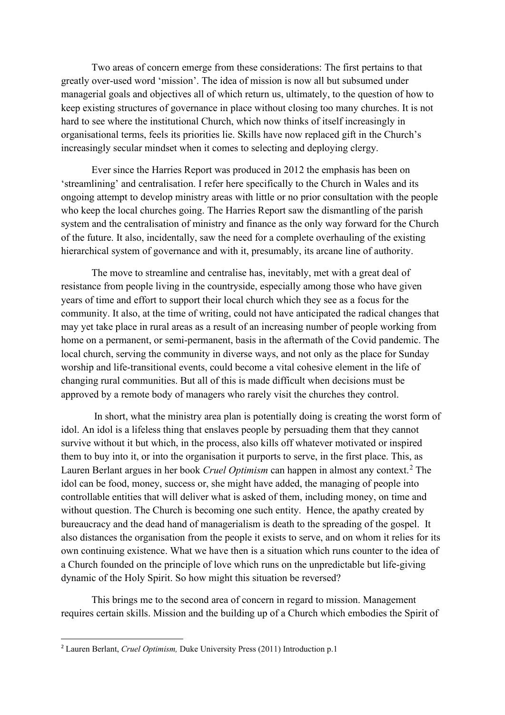Two areas of concern emerge from these considerations: The first pertains to that greatly over-used word 'mission'. The idea of mission is now all but subsumed under managerial goals and objectives all of which return us, ultimately, to the question of how to keep existing structures of governance in place without closing too many churches. It is not hard to see where the institutional Church, which now thinks of itself increasingly in organisational terms, feels its priorities lie. Skills have now replaced gift in the Church's increasingly secular mindset when it comes to selecting and deploying clergy.

Ever since the Harries Report was produced in 2012 the emphasis has been on 'streamlining' and centralisation. I refer here specifically to the Church in Wales and its ongoing attempt to develop ministry areas with little or no prior consultation with the people who keep the local churches going. The Harries Report saw the dismantling of the parish system and the centralisation of ministry and finance as the only way forward for the Church of the future. It also, incidentally, saw the need for a complete overhauling of the existing hierarchical system of governance and with it, presumably, its arcane line of authority.

The move to streamline and centralise has, inevitably, met with a great deal of resistance from people living in the countryside, especially among those who have given years of time and effort to support their local church which they see as a focus for the community. It also, at the time of writing, could not have anticipated the radical changes that may yet take place in rural areas as a result of an increasing number of people working from home on a permanent, or semi-permanent, basis in the aftermath of the Covid pandemic. The local church, serving the community in diverse ways, and not only as the place for Sunday worship and life-transitional events, could become a vital cohesive element in the life of changing rural communities. But all of this is made difficult when decisions must be approved by a remote body of managers who rarely visit the churches they control.

In short, what the ministry area plan is potentially doing is creating the worst form of idol. An idol is a lifeless thing that enslaves people by persuading them that they cannot survive without it but which, in the process, also kills off whatever motivated or inspired them to buy into it, or into the organisation it purports to serve, in the first place. This, as Lauren Berlant argues in her book *Cruel Optimism* can happen in almost any context.<sup>[2](#page-2-0)</sup> The idol can be food, money, success or, she might have added, the managing of people into controllable entities that will deliver what is asked of them, including money, on time and without question. The Church is becoming one such entity. Hence, the apathy created by bureaucracy and the dead hand of managerialism is death to the spreading of the gospel. It also distances the organisation from the people it exists to serve, and on whom it relies for its own continuing existence. What we have then is a situation which runs counter to the idea of a Church founded on the principle of love which runs on the unpredictable but life-giving dynamic of the Holy Spirit. So how might this situation be reversed?

This brings me to the second area of concern in regard to mission. Management requires certain skills. Mission and the building up of a Church which embodies the Spirit of

<span id="page-2-0"></span><sup>2</sup> Lauren Berlant, *Cruel Optimism,* Duke University Press (2011) Introduction p.1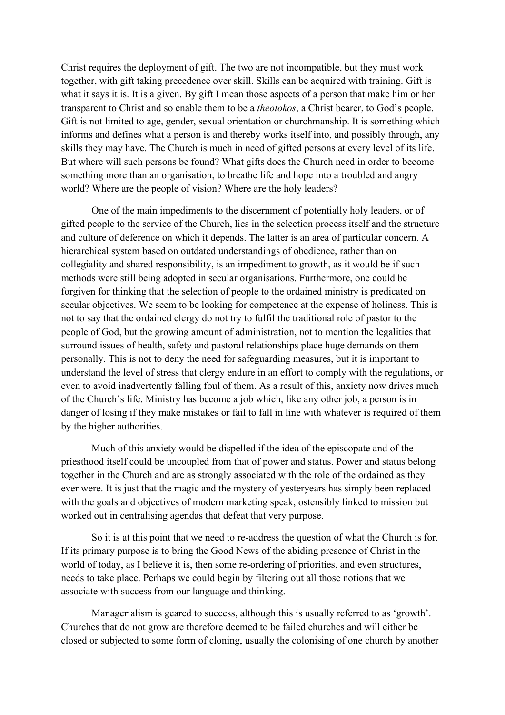Christ requires the deployment of gift. The two are not incompatible, but they must work together, with gift taking precedence over skill. Skills can be acquired with training. Gift is what it says it is. It is a given. By gift I mean those aspects of a person that make him or her transparent to Christ and so enable them to be a *theotokos*, a Christ bearer, to God's people. Gift is not limited to age, gender, sexual orientation or churchmanship. It is something which informs and defines what a person is and thereby works itself into, and possibly through, any skills they may have. The Church is much in need of gifted persons at every level of its life. But where will such persons be found? What gifts does the Church need in order to become something more than an organisation, to breathe life and hope into a troubled and angry world? Where are the people of vision? Where are the holy leaders?

One of the main impediments to the discernment of potentially holy leaders, or of gifted people to the service of the Church, lies in the selection process itself and the structure and culture of deference on which it depends. The latter is an area of particular concern. A hierarchical system based on outdated understandings of obedience, rather than on collegiality and shared responsibility, is an impediment to growth, as it would be if such methods were still being adopted in secular organisations. Furthermore, one could be forgiven for thinking that the selection of people to the ordained ministry is predicated on secular objectives. We seem to be looking for competence at the expense of holiness. This is not to say that the ordained clergy do not try to fulfil the traditional role of pastor to the people of God, but the growing amount of administration, not to mention the legalities that surround issues of health, safety and pastoral relationships place huge demands on them personally. This is not to deny the need for safeguarding measures, but it is important to understand the level of stress that clergy endure in an effort to comply with the regulations, or even to avoid inadvertently falling foul of them. As a result of this, anxiety now drives much of the Church's life. Ministry has become a job which, like any other job, a person is in danger of losing if they make mistakes or fail to fall in line with whatever is required of them by the higher authorities.

Much of this anxiety would be dispelled if the idea of the episcopate and of the priesthood itself could be uncoupled from that of power and status. Power and status belong together in the Church and are as strongly associated with the role of the ordained as they ever were. It is just that the magic and the mystery of yesteryears has simply been replaced with the goals and objectives of modern marketing speak, ostensibly linked to mission but worked out in centralising agendas that defeat that very purpose.

So it is at this point that we need to re-address the question of what the Church is for. If its primary purpose is to bring the Good News of the abiding presence of Christ in the world of today, as I believe it is, then some re-ordering of priorities, and even structures, needs to take place. Perhaps we could begin by filtering out all those notions that we associate with success from our language and thinking.

Managerialism is geared to success, although this is usually referred to as 'growth'. Churches that do not grow are therefore deemed to be failed churches and will either be closed or subjected to some form of cloning, usually the colonising of one church by another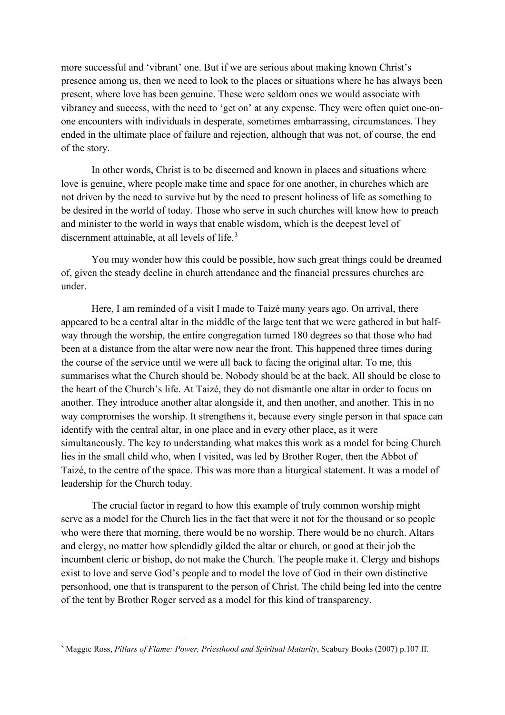more successful and 'vibrant' one. But if we are serious about making known Christ's presence among us, then we need to look to the places or situations where he has always been present, where love has been genuine. These were seldom ones we would associate with vibrancy and success, with the need to 'get on' at any expense. They were often quiet one-onone encounters with individuals in desperate, sometimes embarrassing, circumstances. They ended in the ultimate place of failure and rejection, although that was not, of course, the end of the story.

In other words, Christ is to be discerned and known in places and situations where love is genuine, where people make time and space for one another, in churches which are not driven by the need to survive but by the need to present holiness of life as something to be desired in the world of today. Those who serve in such churches will know how to preach and minister to the world in ways that enable wisdom, which is the deepest level of discernment attainable, at all levels of life.<sup>[3](#page-4-0)</sup>

You may wonder how this could be possible, how such great things could be dreamed of, given the steady decline in church attendance and the financial pressures churches are under.

Here, I am reminded of a visit I made to Taizé many years ago. On arrival, there appeared to be a central altar in the middle of the large tent that we were gathered in but halfway through the worship, the entire congregation turned 180 degrees so that those who had been at a distance from the altar were now near the front. This happened three times during the course of the service until we were all back to facing the original altar. To me, this summarises what the Church should be. Nobody should be at the back. All should be close to the heart of the Church's life. At Taizé, they do not dismantle one altar in order to focus on another. They introduce another altar alongside it, and then another, and another. This in no way compromises the worship. It strengthens it, because every single person in that space can identify with the central altar, in one place and in every other place, as it were simultaneously. The key to understanding what makes this work as a model for being Church lies in the small child who, when I visited, was led by Brother Roger, then the Abbot of Taizé, to the centre of the space. This was more than a liturgical statement. It was a model of leadership for the Church today.

The crucial factor in regard to how this example of truly common worship might serve as a model for the Church lies in the fact that were it not for the thousand or so people who were there that morning, there would be no worship. There would be no church. Altars and clergy, no matter how splendidly gilded the altar or church, or good at their job the incumbent cleric or bishop, do not make the Church. The people make it. Clergy and bishops exist to love and serve God's people and to model the love of God in their own distinctive personhood, one that is transparent to the person of Christ. The child being led into the centre of the tent by Brother Roger served as a model for this kind of transparency.

<span id="page-4-0"></span><sup>3</sup> Maggie Ross, *Pillars of Flame: Power, Priesthood and Spiritual Maturity*, Seabury Books (2007) p.107 ff.